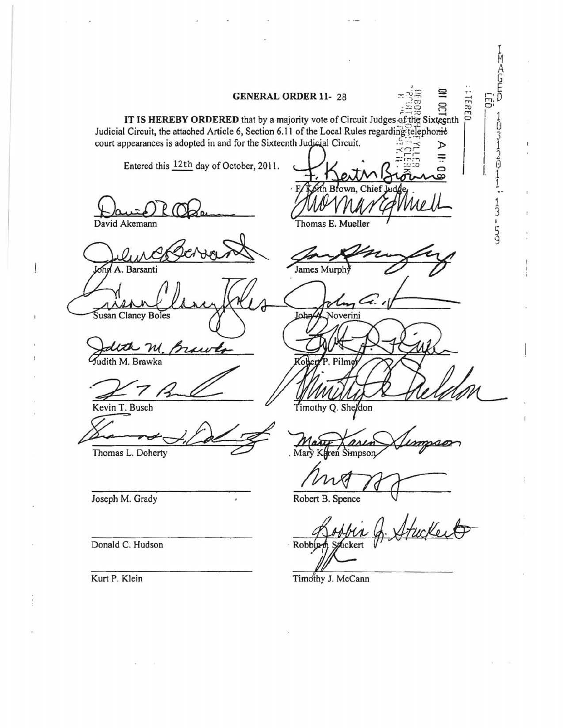Į. M A G E **GENERAL ORDER 11-28**  $\pi \sqrt{2}$   $\Xi$   $\Xi$ 037 1 IT IS HEREBY ORDERED that by a majority vote of Circuit Judges of the Sixteenth Judicial Circuit, the attached Article 6, Section 6.11 of the Local Rules regarding telephonic court appearances is adopted in and for the Sixteenth Judicial Circuit.  $\frac{2}{5}$ Entered this  $\frac{12th}{h}$  day of October, 2011.  $\frac{1}{2}$ 3 David Akemann Thomas E. Mueller 5 A. Barsanti James Murph Susan Clancy Boles John Noverini m dith M. Brawka Kevin T. Busch Timothy Q. Sheldon Thomas L. Doherty Mary Simpson Joseph M. Grady Robert B. Spence yck o Donald C. Hudson Robbin uckert Kurt P. Klein Timothy J. McCann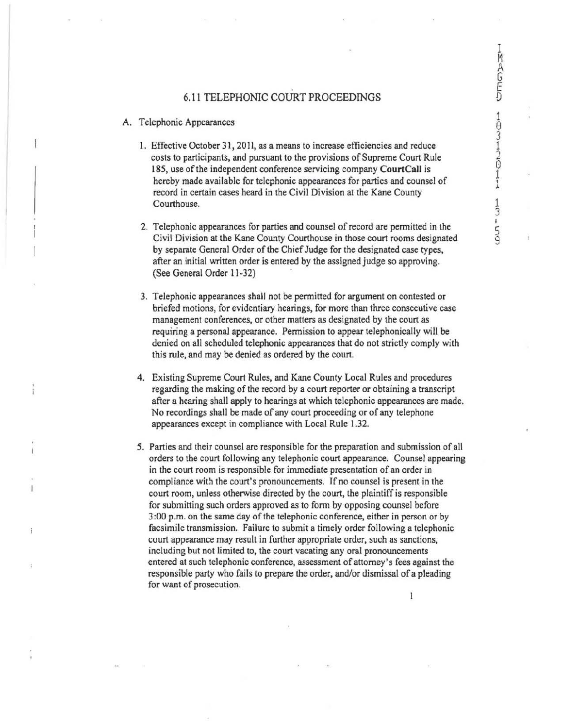9

## 6.11 TELEPHONIC COURT PROCEEDINGS

- A. Telephonic Appearances
	- 1. Effective October 31, 2011, as a means to increase efficiencies and reduce costs to participants, and pursuant to the provisions of Supreme Court Rule 185, use of the independent conference servicing company **CourtCall** is hereby made available for telephonic appearances for parties and counsel of record in certain cases heard in the Civil Division at the Kane County Courthouse.
	- 2. Telephonic appearances for parties and counsel of record are permitted in the Civil Division at the Kane County Courthouse in those court rooms designated by separate General Order of the Chief Judge for the designated case types, after an initial written order is entered by the assigned judge so approving. (See General Order 11-32)
	- 3. Telephonic appearances shall not be permitted for argument on contested or briefed motions, for evidentiary hearings, for more than three consecutive case management conferences, or other matters as designated by the court as requiring a personal appearance. Permission to appear telephonically will be denied on all scheduled telephonic appearances that do not strictly comply with this rule, and may be denied as ordered by the court.
	- 4. Existing Supreme Court Rules, and Kane County Local Rules and procedures regarding the making of the record by a court reporter or obtaining a transcript after a hearing shall apply to hearings at which telephonic appearances are made. No recordings shall be made of any court proceeding or of any telephone appearances except in compliance with Local Rule 1.32.
	- 5. Parties and their counsel are responsible for the preparation and submission of all orders to the court following any telephonic court appearance. Counsel appearing in the court room is responsible for immediate presentation of an order in compliance with the court's pronouncements. If no counsel is present in the court room, unless otherwise directed by the court, the plaintiff is responsible for submitting such orders approved as to fonn by opposing counsel before 3 :00 p.m. on the same day of the telephonic conference, either in person or by facsimile transmission. Failure to submit a timely order following a telephonic court appearance may result in further appropriate order, such as sanctions, including but not limited to, the court vacating any oral pronouncements entered at such telephonic conference, assessment of attorney's fees against the responsible party who fails to prepare the order, and/or dismissal of a pleading for want of prosecution.

1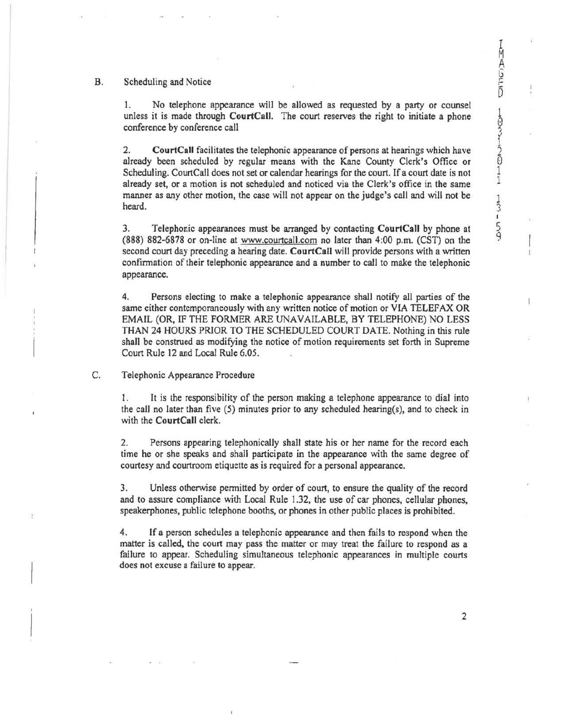## B. Scheduling and Notice

1. No telephone appearance will be allowed as requested by a party or counsel unless it is made through **CourtCall.** The court reserves the right to initiate a phone conference by conference call

2. **CourtCall** facilitates the telephonic appearance of persons at hearings which have already been scheduled by regular means with the Kane County Clerk's Office or Scheduling. CourtCall does not set or calendar hearings for the court. If a court date is not already set, or a motion is not scheduled and noticed via the Clerk's office in the same manner as any other motion, the case will not appear on the judge's call and will not be heard.

3. Telephonic appearances must be arranged by contacting **CourtCall** by phone at (888) 882-6878 or on-line at www.courtcall.com no later than 4:00 p.m. (CST) on the second court day preceding a hearing date. **CourtCall** will provide persons with a written confirmation of their telephonic appearance and a number to call to make the telephonic appearance.

4. Persons electing to make a telephonic appearance shall notify all parties of the same either contemporaneously with any written notice of motion or VIA TELEFAX OR EMAIL (OR, IF THE FORMER ARE UNAVAILABLE, BY TELEPHONE) NO LESS THAN 24 HOURS PRIOR TO THE SCHEDULED COURT DATE. Nothing in this rule shall be construed as modifying the notice of motion requirements set forth in Supreme Court Rule 12 and Local Rule 6.05.

C. Telephonic Appearance Procedure

1. It is the responsibility of the person making a telephone appearance to dial into the call no later than five (5) minutes prior to any scheduled hearing(s), and to check in with the **CourtCall** clerk.

2. Persons appearing telephonically shall state his or her name for the record each time he or she speaks and shall participate in the appearance with the same degree of courtesy and courtroom etiquette as is required for a personal appearance.

3. Unless otherwise permitted by order of court, to ensure the quality of the record and to assure compliance with Local Rule 1.32, the use of car phones, cellular phones, speakerphones, public telephone booths, or phones in other public places is prohibited.

4. lf a person schedules a telephonic appearance and then fails to respond when the matter is called, the court may pass the matter or may treat the failure to respond as a failure to appear. Scheduling simultaneous telephonic appearances in multiple courts does not excuse a failure to appear.

2